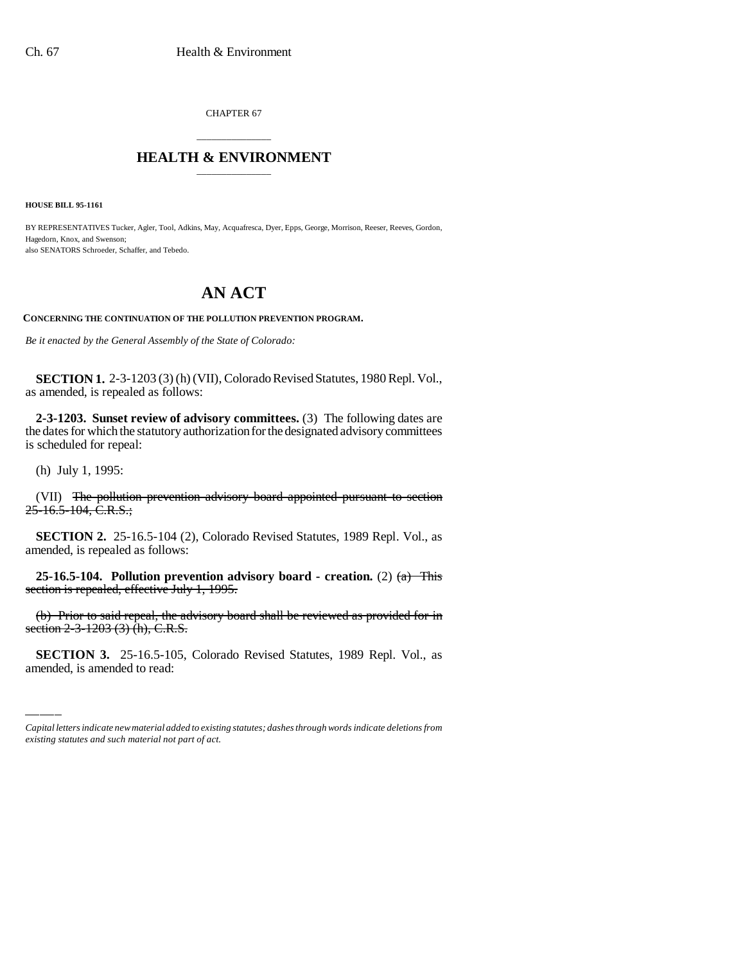CHAPTER 67

## \_\_\_\_\_\_\_\_\_\_\_\_\_\_\_ **HEALTH & ENVIRONMENT** \_\_\_\_\_\_\_\_\_\_\_\_\_\_\_

**HOUSE BILL 95-1161**

BY REPRESENTATIVES Tucker, Agler, Tool, Adkins, May, Acquafresca, Dyer, Epps, George, Morrison, Reeser, Reeves, Gordon, Hagedorn, Knox, and Swenson; also SENATORS Schroeder, Schaffer, and Tebedo.

## **AN ACT**

**CONCERNING THE CONTINUATION OF THE POLLUTION PREVENTION PROGRAM.**

*Be it enacted by the General Assembly of the State of Colorado:*

**SECTION 1.** 2-3-1203 (3) (h) (VII), Colorado Revised Statutes, 1980 Repl. Vol., as amended, is repealed as follows:

**2-3-1203. Sunset review of advisory committees.** (3) The following dates are the dates for which the statutory authorization for the designated advisory committees is scheduled for repeal:

(h) July 1, 1995:

(VII) The pollution prevention advisory board appointed pursuant to section  $25-16.5-104$ , C.R.S.;

**SECTION 2.** 25-16.5-104 (2), Colorado Revised Statutes, 1989 Repl. Vol., as amended, is repealed as follows:

**25-16.5-104. Pollution prevention advisory board - creation.** (2) (a) This section is repealed, effective July 1, 1995.

(b) 1 1101 to said repear, the assection  $2-3-1203$  (3) (h), C.R.S. (b) Prior to said repeal, the advisory board shall be reviewed as provided for in

**SECTION 3.** 25-16.5-105, Colorado Revised Statutes, 1989 Repl. Vol., as amended, is amended to read:

*Capital letters indicate new material added to existing statutes; dashes through words indicate deletions from existing statutes and such material not part of act.*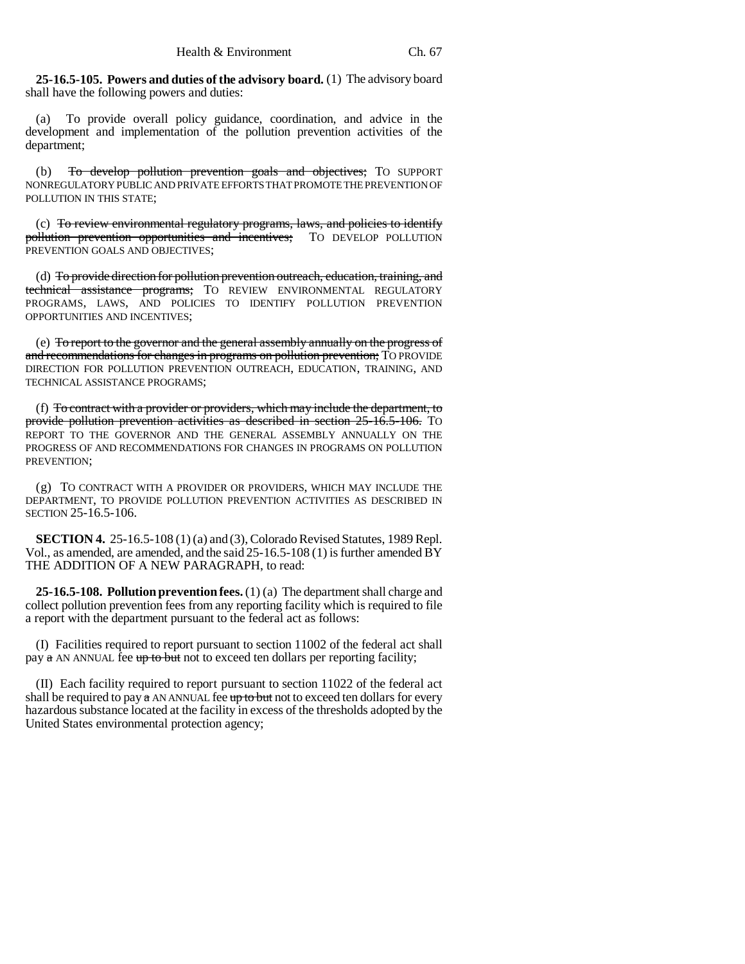**25-16.5-105. Powers and duties of the advisory board.** (1) The advisory board shall have the following powers and duties:

(a) To provide overall policy guidance, coordination, and advice in the development and implementation of the pollution prevention activities of the department;

(b) To develop pollution prevention goals and objectives; To SUPPORT NONREGULATORY PUBLIC AND PRIVATE EFFORTS THAT PROMOTE THE PREVENTION OF POLLUTION IN THIS STATE;

(c) To review environmental regulatory programs, laws, and policies to identify pollution prevention opportunities and incentives; TO DEVELOP POLLUTION PREVENTION GOALS AND OBJECTIVES;

(d) To provide direction for pollution prevention outreach, education, training, and technical assistance programs; TO REVIEW ENVIRONMENTAL REGULATORY PROGRAMS, LAWS, AND POLICIES TO IDENTIFY POLLUTION PREVENTION OPPORTUNITIES AND INCENTIVES;

(e) To report to the governor and the general assembly annually on the progress of and recommendations for changes in programs on pollution prevention; TO PROVIDE DIRECTION FOR POLLUTION PREVENTION OUTREACH, EDUCATION, TRAINING, AND TECHNICAL ASSISTANCE PROGRAMS;

(f) To contract with a provider or providers, which may include the department, to provide pollution prevention activities as described in section 25-16.5-106. TO REPORT TO THE GOVERNOR AND THE GENERAL ASSEMBLY ANNUALLY ON THE PROGRESS OF AND RECOMMENDATIONS FOR CHANGES IN PROGRAMS ON POLLUTION PREVENTION;

(g) TO CONTRACT WITH A PROVIDER OR PROVIDERS, WHICH MAY INCLUDE THE DEPARTMENT, TO PROVIDE POLLUTION PREVENTION ACTIVITIES AS DESCRIBED IN SECTION 25-16.5-106.

**SECTION 4.** 25-16.5-108 (1) (a) and (3), Colorado Revised Statutes, 1989 Repl. Vol., as amended, are amended, and the said 25-16.5-108 (1) is further amended BY THE ADDITION OF A NEW PARAGRAPH, to read:

**25-16.5-108. Pollution prevention fees.** (1) (a) The department shall charge and collect pollution prevention fees from any reporting facility which is required to file a report with the department pursuant to the federal act as follows:

(I) Facilities required to report pursuant to section 11002 of the federal act shall pay  $\alpha$  AN ANNUAL fee  $\frac{1}{2}$  to but not to exceed ten dollars per reporting facility;

(II) Each facility required to report pursuant to section 11022 of the federal act shall be required to pay  $\alpha$  AN ANNUAL fee up to but not to exceed ten dollars for every hazardous substance located at the facility in excess of the thresholds adopted by the United States environmental protection agency;